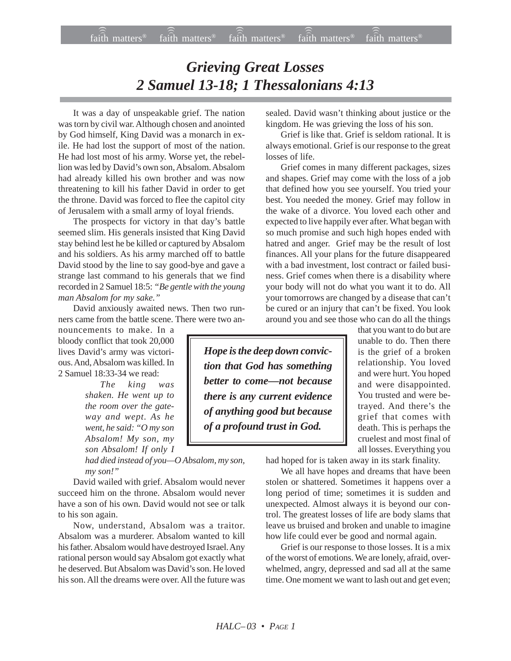## *Grieving Great Losses 2 Samuel 13-18; 1 Thessalonians 4:13*

It was a day of unspeakable grief. The nation was torn by civil war. Although chosen and anointed by God himself, King David was a monarch in exile. He had lost the support of most of the nation. He had lost most of his army. Worse yet, the rebellion was led by David's own son, Absalom. Absalom had already killed his own brother and was now threatening to kill his father David in order to get the throne. David was forced to flee the capitol city of Jerusalem with a small army of loyal friends.

The prospects for victory in that day's battle seemed slim. His generals insisted that King David stay behind lest he be killed or captured by Absalom and his soldiers. As his army marched off to battle David stood by the line to say good-bye and gave a strange last command to his generals that we find recorded in 2 Samuel 18:5: *"Be gentle with the young man Absalom for my sake."*

David anxiously awaited news. Then two runners came from the battle scene. There were two an-

nouncements to make. In a bloody conflict that took 20,000 lives David's army was victorious. And, Absalom was killed. In 2 Samuel 18:33-34 we read:

> *The king was shaken. He went up to the room over the gateway and wept. As he went, he said: "O my son Absalom! My son, my son Absalom! If only I*

*had died instead of you—O Absalom, my son, my son!"*

David wailed with grief. Absalom would never succeed him on the throne. Absalom would never have a son of his own. David would not see or talk to his son again.

Now, understand, Absalom was a traitor. Absalom was a murderer. Absalom wanted to kill his father. Absalom would have destroyed Israel. Any rational person would say Absalom got exactly what he deserved. But Absalom was David's son. He loved his son. All the dreams were over. All the future was sealed. David wasn't thinking about justice or the kingdom. He was grieving the loss of his son.

Grief is like that. Grief is seldom rational. It is always emotional. Grief is our response to the great losses of life.

Grief comes in many different packages, sizes and shapes. Grief may come with the loss of a job that defined how you see yourself. You tried your best. You needed the money. Grief may follow in the wake of a divorce. You loved each other and expected to live happily ever after. What began with so much promise and such high hopes ended with hatred and anger. Grief may be the result of lost finances. All your plans for the future disappeared with a bad investment, lost contract or failed business. Grief comes when there is a disability where your body will not do what you want it to do. All your tomorrows are changed by a disease that can't be cured or an injury that can't be fixed. You look around you and see those who can do all the things

> that you want to do but are unable to do. Then there is the grief of a broken relationship. You loved and were hurt. You hoped and were disappointed. You trusted and were betrayed. And there's the grief that comes with death. This is perhaps the cruelest and most final of all losses. Everything you

had hoped for is taken away in its stark finality.

We all have hopes and dreams that have been stolen or shattered. Sometimes it happens over a long period of time; sometimes it is sudden and unexpected. Almost always it is beyond our control. The greatest losses of life are body slams that leave us bruised and broken and unable to imagine how life could ever be good and normal again.

Grief is our response to those losses. It is a mix of the worst of emotions. We are lonely, afraid, overwhelmed, angry, depressed and sad all at the same time. One moment we want to lash out and get even;

*Hope is the deep down conviction that God has something better to come—not because there is any current evidence of anything good but because of a profound trust in God.*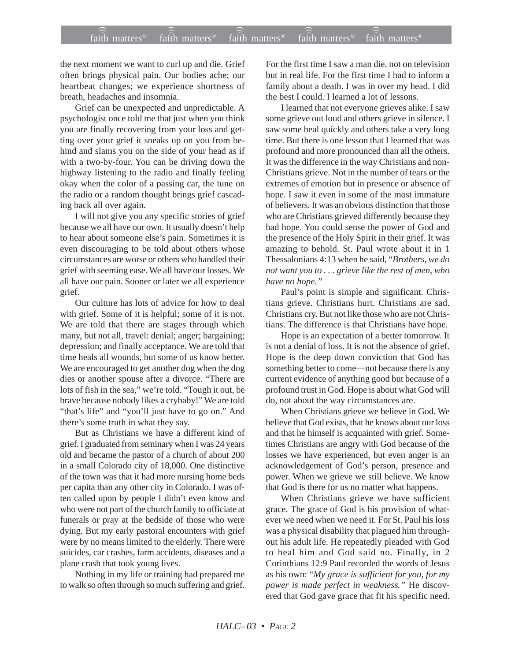the next moment we want to curl up and die. Grief often brings physical pain. Our bodies ache; our heartbeat changes; we experience shortness of breath, headaches and insomnia.

Grief can be unexpected and unpredictable. A psychologist once told me that just when you think you are finally recovering from your loss and getting over your grief it sneaks up on you from behind and slams you on the side of your head as if with a two-by-four. You can be driving down the highway listening to the radio and finally feeling okay when the color of a passing car, the tune on the radio or a random thought brings grief cascading back all over again.

I will not give you any specific stories of grief because we all have our own. It usually doesn't help to hear about someone else's pain. Sometimes it is even discouraging to be told about others whose circumstances are worse or others who handled their grief with seeming ease. We all have our losses. We all have our pain. Sooner or later we all experience grief.

Our culture has lots of advice for how to deal with grief. Some of it is helpful; some of it is not. We are told that there are stages through which many, but not all, travel: denial; anger; bargaining; depression; and finally acceptance. We are told that time heals all wounds, but some of us know better. We are encouraged to get another dog when the dog dies or another spouse after a divorce. "There are lots of fish in the sea," we're told. "Tough it out, be brave because nobody likes a crybaby!" We are told "that's life" and "you'll just have to go on." And there's some truth in what they say.

But as Christians we have a different kind of grief. I graduated from seminary when I was 24 years old and became the pastor of a church of about 200 in a small Colorado city of 18,000. One distinctive of the town was that it had more nursing home beds per capita than any other city in Colorado. I was often called upon by people I didn't even know and who were not part of the church family to officiate at funerals or pray at the bedside of those who were dying. But my early pastoral encounters with grief were by no means limited to the elderly. There were suicides, car crashes, farm accidents, diseases and a plane crash that took young lives.

Nothing in my life or training had prepared me to walk so often through so much suffering and grief. For the first time I saw a man die, not on television but in real life. For the first time I had to inform a family about a death. I was in over my head. I did the best I could. I learned a lot of lessons.

I learned that not everyone grieves alike. I saw some grieve out loud and others grieve in silence. I saw some heal quickly and others take a very long time. But there is one lesson that I learned that was profound and more pronounced than all the others. It was the difference in the way Christians and non-Christians grieve. Not in the number of tears or the extremes of emotion but in presence or absence of hope. I saw it even in some of the most immature of believers. It was an obvious distinction that those who are Christians grieved differently because they had hope. You could sense the power of God and the presence of the Holy Spirit in their grief. It was amazing to behold. St. Paul wrote about it in 1 Thessalonians 4:13 when he said, "*Brothers, we do not want you to . . . grieve like the rest of men, who have no hope."*

Paul's point is simple and significant. Christians grieve. Christians hurt. Christians are sad. Christians cry. But not like those who are not Christians. The difference is that Christians have hope.

Hope is an expectation of a better tomorrow. It is not a denial of loss. It is not the absence of grief. Hope is the deep down conviction that God has something better to come—not because there is any current evidence of anything good but because of a profound trust in God. Hope is about what God will do, not about the way circumstances are.

When Christians grieve we believe in God. We believe that God exists, that he knows about our loss and that he himself is acquainted with grief. Sometimes Christians are angry with God because of the losses we have experienced, but even anger is an acknowledgement of God's person, presence and power. When we grieve we still believe. We know that God is there for us no matter what happens.

When Christians grieve we have sufficient grace. The grace of God is his provision of whatever we need when we need it. For St. Paul his loss was a physical disability that plagued him throughout his adult life. He repeatedly pleaded with God to heal him and God said no. Finally, in 2 Corinthians 12:9 Paul recorded the words of Jesus as his own: "*My grace is sufficient for you, for my power is made perfect in weakness."* He discovered that God gave grace that fit his specific need.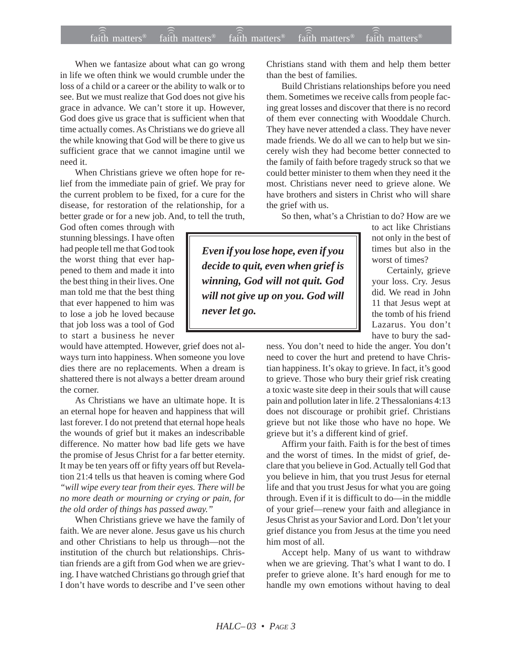When we fantasize about what can go wrong in life we often think we would crumble under the loss of a child or a career or the ability to walk or to see. But we must realize that God does not give his grace in advance. We can't store it up. However, God does give us grace that is sufficient when that time actually comes. As Christians we do grieve all the while knowing that God will be there to give us sufficient grace that we cannot imagine until we need it.

When Christians grieve we often hope for relief from the immediate pain of grief. We pray for the current problem to be fixed, for a cure for the disease, for restoration of the relationship, for a better grade or for a new job. And, to tell the truth,

God often comes through with stunning blessings. I have often had people tell me that God took the worst thing that ever happened to them and made it into the best thing in their lives. One man told me that the best thing that ever happened to him was to lose a job he loved because that job loss was a tool of God to start a business he never

would have attempted. However, grief does not always turn into happiness. When someone you love dies there are no replacements. When a dream is shattered there is not always a better dream around the corner.

As Christians we have an ultimate hope. It is an eternal hope for heaven and happiness that will last forever. I do not pretend that eternal hope heals the wounds of grief but it makes an indescribable difference. No matter how bad life gets we have the promise of Jesus Christ for a far better eternity. It may be ten years off or fifty years off but Revelation 21:4 tells us that heaven is coming where God *"will wipe every tear from their eyes. There will be no more death or mourning or crying or pain, for the old order of things has passed away."*

When Christians grieve we have the family of faith. We are never alone. Jesus gave us his church and other Christians to help us through—not the institution of the church but relationships. Christian friends are a gift from God when we are grieving. I have watched Christians go through grief that I don't have words to describe and I've seen other

Christians stand with them and help them better than the best of families.

Build Christians relationships before you need them. Sometimes we receive calls from people facing great losses and discover that there is no record of them ever connecting with Wooddale Church. They have never attended a class. They have never made friends. We do all we can to help but we sincerely wish they had become better connected to the family of faith before tragedy struck so that we could better minister to them when they need it the most. Christians never need to grieve alone. We have brothers and sisters in Christ who will share the grief with us.

So then, what's a Christian to do? How are we

*Even if you lose hope, even if you decide to quit, even when grief is winning, God will not quit. God will not give up on you. God will never let go.*

to act like Christians not only in the best of times but also in the worst of times?

Certainly, grieve your loss. Cry. Jesus did. We read in John 11 that Jesus wept at the tomb of his friend Lazarus. You don't have to bury the sad-

ness. You don't need to hide the anger. You don't need to cover the hurt and pretend to have Christian happiness. It's okay to grieve. In fact, it's good to grieve. Those who bury their grief risk creating a toxic waste site deep in their souls that will cause pain and pollution later in life. 2 Thessalonians 4:13 does not discourage or prohibit grief. Christians grieve but not like those who have no hope. We grieve but it's a different kind of grief.

Affirm your faith. Faith is for the best of times and the worst of times. In the midst of grief, declare that you believe in God. Actually tell God that you believe in him, that you trust Jesus for eternal life and that you trust Jesus for what you are going through. Even if it is difficult to do—in the middle of your grief—renew your faith and allegiance in Jesus Christ as your Savior and Lord. Don't let your grief distance you from Jesus at the time you need him most of all.

Accept help. Many of us want to withdraw when we are grieving. That's what I want to do. I prefer to grieve alone. It's hard enough for me to handle my own emotions without having to deal